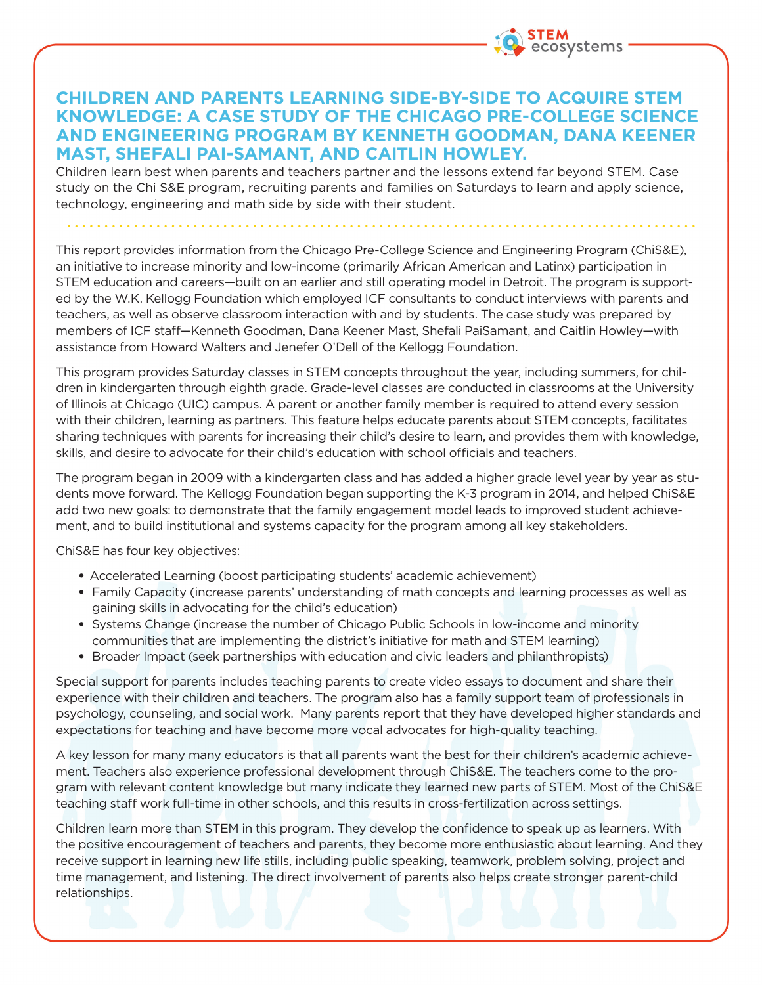

## **CHILDREN AND PARENTS LEARNING SIDE-BY-SIDE TO ACQUIRE STEM KNOWLEDGE: A CASE STUDY OF THE CHICAGO PRE-COLLEGE SCIENCE AND ENGINEERING PROGRAM BY KENNETH GOODMAN, DANA KEENER MAST, SHEFALI PAI-SAMANT, AND CAITLIN HOWLEY.**

Children learn best when parents and teachers partner and the lessons extend far beyond STEM. Case study on the Chi S&E program, recruiting parents and families on Saturdays to learn and apply science, technology, engineering and math side by side with their student.

This report provides information from the Chicago Pre-College Science and Engineering Program (ChiS&E), an initiative to increase minority and low-income (primarily African American and Latinx) participation in STEM education and careers—built on an earlier and still operating model in Detroit. The program is supported by the W.K. Kellogg Foundation which employed ICF consultants to conduct interviews with parents and teachers, as well as observe classroom interaction with and by students. The case study was prepared by members of ICF staff—Kenneth Goodman, Dana Keener Mast, Shefali PaiSamant, and Caitlin Howley—with assistance from Howard Walters and Jenefer O'Dell of the Kellogg Foundation.

This program provides Saturday classes in STEM concepts throughout the year, including summers, for children in kindergarten through eighth grade. Grade-level classes are conducted in classrooms at the University of Illinois at Chicago (UIC) campus. A parent or another family member is required to attend every session with their children, learning as partners. This feature helps educate parents about STEM concepts, facilitates sharing techniques with parents for increasing their child's desire to learn, and provides them with knowledge, skills, and desire to advocate for their child's education with school officials and teachers.

The program began in 2009 with a kindergarten class and has added a higher grade level year by year as students move forward. The Kellogg Foundation began supporting the K-3 program in 2014, and helped ChiS&E add two new goals: to demonstrate that the family engagement model leads to improved student achievement, and to build institutional and systems capacity for the program among all key stakeholders.

ChiS&E has four key objectives:

- Accelerated Learning (boost participating students' academic achievement)
- Family Capacity (increase parents' understanding of math concepts and learning processes as well as gaining skills in advocating for the child's education)
- Systems Change (increase the number of Chicago Public Schools in low-income and minority communities that are implementing the district's initiative for math and STEM learning)
- Broader Impact (seek partnerships with education and civic leaders and philanthropists)

Special support for parents includes teaching parents to create video essays to document and share their experience with their children and teachers. The program also has a family support team of professionals in psychology, counseling, and social work. Many parents report that they have developed higher standards and expectations for teaching and have become more vocal advocates for high-quality teaching.

A key lesson for many many educators is that all parents want the best for their children's academic achievement. Teachers also experience professional development through ChiS&E. The teachers come to the program with relevant content knowledge but many indicate they learned new parts of STEM. Most of the ChiS&E teaching staff work full-time in other schools, and this results in cross-fertilization across settings.

Children learn more than STEM in this program. They develop the confidence to speak up as learners. With the positive encouragement of teachers and parents, they become more enthusiastic about learning. And they receive support in learning new life stills, including public speaking, teamwork, problem solving, project and time management, and listening. The direct involvement of parents also helps create stronger parent-child relationships.